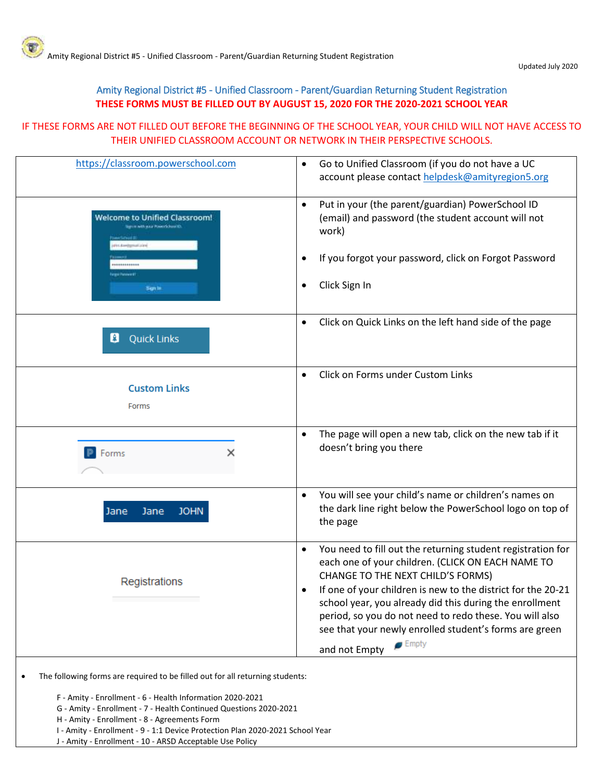## Amity Regional District #5 - Unified Classroom - Parent/Guardian Returning Student Registration **THESE FORMS MUST BE FILLED OUT BY AUGUST 15, 2020 FOR THE 2020-2021 SCHOOL YEAR**

## IF THESE FORMS ARE NOT FILLED OUT BEFORE THE BEGINNING OF THE SCHOOL YEAR, YOUR CHILD WILL NOT HAVE ACCESS TO THEIR UNIFIED CLASSROOM ACCOUNT OR NETWORK IN THEIR PERSPECTIVE SCHOOLS.

| https://classroom.powerschool.com                                                          | Go to Unified Classroom (if you do not have a UC<br>$\bullet$<br>account please contact helpdesk@amityregion5.org                                                                                                                                                                                                                                                                                                                          |
|--------------------------------------------------------------------------------------------|--------------------------------------------------------------------------------------------------------------------------------------------------------------------------------------------------------------------------------------------------------------------------------------------------------------------------------------------------------------------------------------------------------------------------------------------|
| <b>Welcome to Unified Classroom!</b><br>th map Penny School Et<br>Per Awkhenial Jord       | Put in your (the parent/guardian) PowerSchool ID<br>$\bullet$<br>(email) and password (the student account will not<br>work)                                                                                                                                                                                                                                                                                                               |
|                                                                                            | If you forgot your password, click on Forgot Password                                                                                                                                                                                                                                                                                                                                                                                      |
| Sign In                                                                                    | Click Sign In                                                                                                                                                                                                                                                                                                                                                                                                                              |
| <b>Quick Links</b><br>g                                                                    | Click on Quick Links on the left hand side of the page<br>$\bullet$                                                                                                                                                                                                                                                                                                                                                                        |
| <b>Custom Links</b><br>Forms                                                               | Click on Forms under Custom Links<br>$\bullet$                                                                                                                                                                                                                                                                                                                                                                                             |
| Forms<br>×                                                                                 | The page will open a new tab, click on the new tab if it<br>$\bullet$<br>doesn't bring you there                                                                                                                                                                                                                                                                                                                                           |
| <b>JOHN</b><br>Jane<br>Jane                                                                | You will see your child's name or children's names on<br>$\bullet$<br>the dark line right below the PowerSchool logo on top of<br>the page                                                                                                                                                                                                                                                                                                 |
| Registrations                                                                              | You need to fill out the returning student registration for<br>$\bullet$<br>each one of your children. (CLICK ON EACH NAME TO<br>CHANGE TO THE NEXT CHILD'S FORMS)<br>If one of your children is new to the district for the 20-21<br>school year, you already did this during the enrollment<br>period, so you do not need to redo these. You will also<br>see that your newly enrolled student's forms are green<br>$\blacksquare$ Empty |
|                                                                                            | and not Empty                                                                                                                                                                                                                                                                                                                                                                                                                              |
| The following forms are required to be filled out for all returning students:<br>$\bullet$ |                                                                                                                                                                                                                                                                                                                                                                                                                                            |

F - Amity - Enrollment - 6 - Health Information 2020-2021

G - Amity - Enrollment - 7 - Health Continued Questions 2020-2021

H - Amity - Enrollment - 8 - Agreements Form

- I Amity Enrollment 9 1:1 Device Protection Plan 2020-2021 School Year
- J Amity Enrollment 10 ARSD Acceptable Use Policy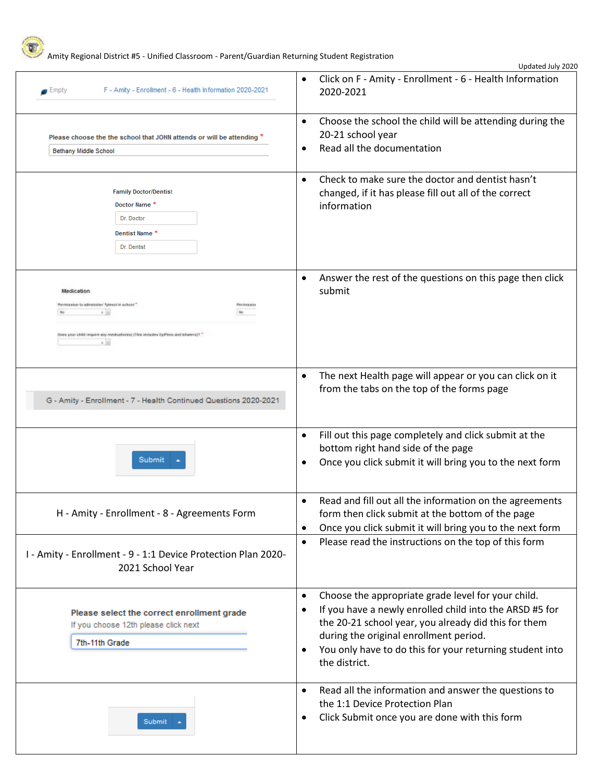

Amity Regional District #5 - Unified Classroom - Parent/Guardian Returning Student Registration

| F - Amity - Enrollment - 6 - Health Information 2020-2021<br>$\blacksquare$ Empty                                                                                              | Click on F - Amity - Enrollment - 6 - Health Information<br>$\bullet$<br>2020-2021                                                                                                                                                                                                                                  |
|--------------------------------------------------------------------------------------------------------------------------------------------------------------------------------|---------------------------------------------------------------------------------------------------------------------------------------------------------------------------------------------------------------------------------------------------------------------------------------------------------------------|
| Please choose the the school that JOHN attends or will be attending *<br><b>Bethany Middle School</b>                                                                          | Choose the school the child will be attending during the<br>$\bullet$<br>20-21 school year<br>Read all the documentation<br>$\bullet$                                                                                                                                                                               |
| <b>Family Doctor/Dentist</b><br>Doctor Name*<br>Dr. Doctor<br>Dentist Name <sup>*</sup><br>Dr. Dentist                                                                         | Check to make sure the doctor and dentist hasn't<br>$\bullet$<br>changed, if it has please fill out all of the correct<br>information                                                                                                                                                                               |
| Medication<br>Permission to advantate! Tylessitie school."<br>Porresa una<br>A.16<br>Does your child require any medication(s) (This includes EpPeris and Inharen)? "<br>$+18$ | Answer the rest of the questions on this page then click<br>$\bullet$<br>submit                                                                                                                                                                                                                                     |
| G - Amity - Enrollment - 7 - Health Continued Questions 2020-2021                                                                                                              | The next Health page will appear or you can click on it<br>$\bullet$<br>from the tabs on the top of the forms page                                                                                                                                                                                                  |
| Submit                                                                                                                                                                         | Fill out this page completely and click submit at the<br>$\bullet$<br>bottom right hand side of the page<br>Once you click submit it will bring you to the next form                                                                                                                                                |
| H - Amity - Enrollment - 8 - Agreements Form                                                                                                                                   | Read and fill out all the information on the agreements<br>$\bullet$<br>form then click submit at the bottom of the page<br>Once you click submit it will bring you to the next form<br>$\bullet$                                                                                                                   |
| I - Amity - Enrollment - 9 - 1:1 Device Protection Plan 2020-<br>2021 School Year                                                                                              | Please read the instructions on the top of this form<br>$\bullet$                                                                                                                                                                                                                                                   |
| Please select the correct enrollment grade<br>If you choose 12th please click next<br>7th-11th Grade                                                                           | Choose the appropriate grade level for your child.<br>$\bullet$<br>If you have a newly enrolled child into the ARSD #5 for<br>٠<br>the 20-21 school year, you already did this for them<br>during the original enrollment period.<br>You only have to do this for your returning student into<br>٠<br>the district. |
| Submit                                                                                                                                                                         | Read all the information and answer the questions to<br>$\bullet$<br>the 1:1 Device Protection Plan<br>Click Submit once you are done with this form<br>٠                                                                                                                                                           |

Updated July 2020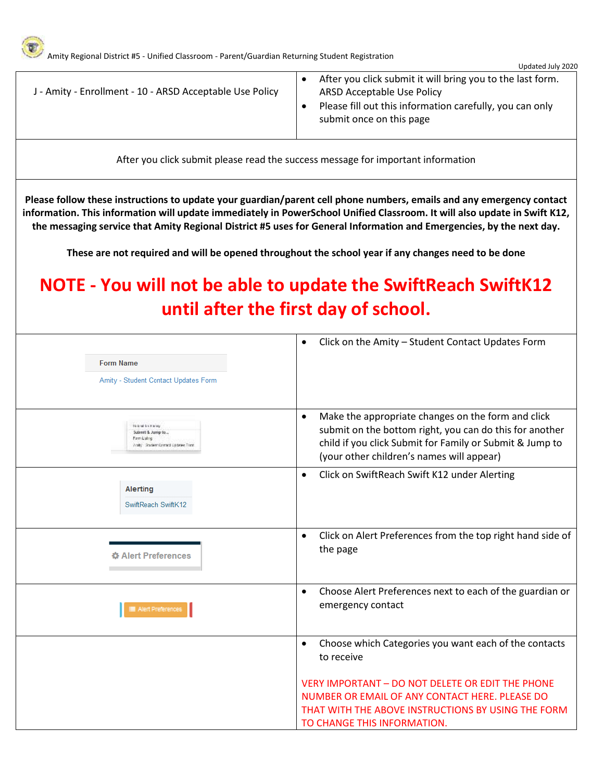|                                                          | Updated July 2020                                                                                                                                                                |
|----------------------------------------------------------|----------------------------------------------------------------------------------------------------------------------------------------------------------------------------------|
| J - Amity - Enrollment - 10 - ARSD Acceptable Use Policy | After you click submit it will bring you to the last form.<br>ARSD Acceptable Use Policy<br>Please fill out this information carefully, you can only<br>submit once on this page |

After you click submit please read the success message for important information

**Please follow these instructions to update your guardian/parent cell phone numbers, emails and any emergency contact information. This information will update immediately in PowerSchool Unified Classroom. It will also update in Swift K12, the messaging service that Amity Regional District #5 uses for General Information and Emergencies, by the next day.**

**These are not required and will be opened throughout the school year if any changes need to be done**

## **NOTE - You will not be able to update the SwiftReach SwiftK12 until after the first day of school.**

| <b>Form Name</b><br>Amity - Student Contact Updates Form                                           | Click on the Amity - Student Contact Updates Form<br>$\bullet$                                                                                                                                                                      |
|----------------------------------------------------------------------------------------------------|-------------------------------------------------------------------------------------------------------------------------------------------------------------------------------------------------------------------------------------|
| <b>Striking for Karaly</b><br>Submit & Jump to<br>Familiaing<br>Analy Condess Contact Updates Toms | Make the appropriate changes on the form and click<br>$\bullet$<br>submit on the bottom right, you can do this for another<br>child if you click Submit for Family or Submit & Jump to<br>(your other children's names will appear) |
| <b>Alerting</b><br>SwiftReach SwiftK12                                                             | Click on SwiftReach Swift K12 under Alerting<br>$\bullet$                                                                                                                                                                           |
| <b>☆ Alert Preferences</b>                                                                         | Click on Alert Preferences from the top right hand side of<br>$\bullet$<br>the page                                                                                                                                                 |
| ■ Alert Preferences                                                                                | Choose Alert Preferences next to each of the guardian or<br>$\bullet$<br>emergency contact                                                                                                                                          |
|                                                                                                    | Choose which Categories you want each of the contacts<br>$\bullet$<br>to receive                                                                                                                                                    |
|                                                                                                    | VERY IMPORTANT - DO NOT DELETE OR EDIT THE PHONE<br>NUMBER OR EMAIL OF ANY CONTACT HERE. PLEASE DO<br>THAT WITH THE ABOVE INSTRUCTIONS BY USING THE FORM<br>TO CHANGE THIS INFORMATION.                                             |